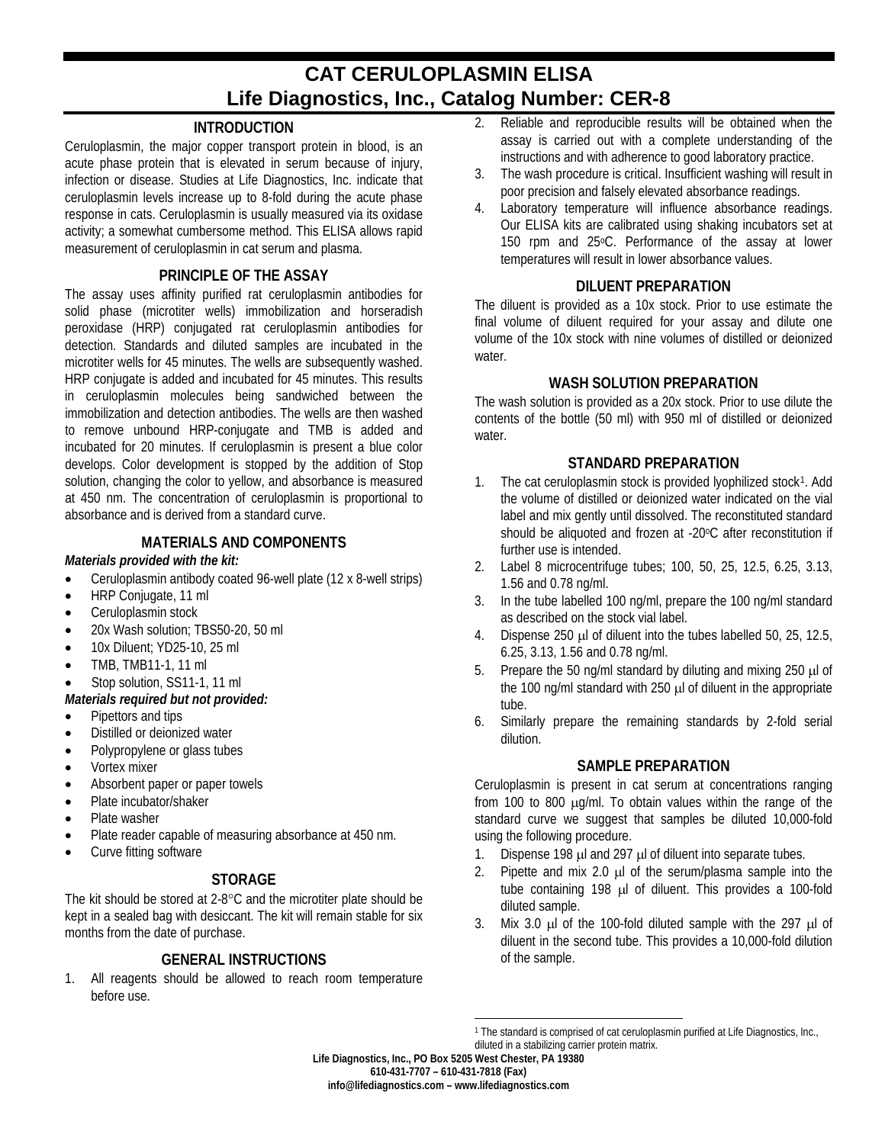# **CAT CERULOPLASMIN ELISA Life Diagnostics, Inc., Catalog Number: CER-8**

## **INTRODUCTION**

Ceruloplasmin, the major copper transport protein in blood, is an acute phase protein that is elevated in serum because of injury, infection or disease. Studies at Life Diagnostics, Inc. indicate that ceruloplasmin levels increase up to 8-fold during the acute phase response in cats. Ceruloplasmin is usually measured via its oxidase activity; a somewhat cumbersome method. This ELISA allows rapid measurement of ceruloplasmin in cat serum and plasma.

#### **PRINCIPLE OF THE ASSAY**

The assay uses affinity purified rat ceruloplasmin antibodies for solid phase (microtiter wells) immobilization and horseradish peroxidase (HRP) conjugated rat ceruloplasmin antibodies for detection. Standards and diluted samples are incubated in the microtiter wells for 45 minutes. The wells are subsequently washed. HRP conjugate is added and incubated for 45 minutes. This results in ceruloplasmin molecules being sandwiched between the immobilization and detection antibodies. The wells are then washed to remove unbound HRP-conjugate and TMB is added and incubated for 20 minutes. If ceruloplasmin is present a blue color develops. Color development is stopped by the addition of Stop solution, changing the color to yellow, and absorbance is measured at 450 nm. The concentration of ceruloplasmin is proportional to absorbance and is derived from a standard curve.

#### **MATERIALS AND COMPONENTS**

#### *Materials provided with the kit:*

- Ceruloplasmin antibody coated 96-well plate (12 x 8-well strips)
- HRP Conjugate, 11 ml
- Ceruloplasmin stock
- 20x Wash solution: TBS50-20, 50 ml
- 10x Diluent; YD25-10, 25 ml
- TMB, TMB11-1, 11 ml
- Stop solution, SS11-1, 11 ml

### *Materials required but not provided:*

- Pipettors and tips
- Distilled or deionized water
- Polypropylene or glass tubes
- Vortex mixer
- Absorbent paper or paper towels
- Plate incubator/shaker
- Plate washer
- Plate reader capable of measuring absorbance at 450 nm.
- Curve fitting software

#### **STORAGE**

The kit should be stored at 2-8°C and the microtiter plate should be kept in a sealed bag with desiccant. The kit will remain stable for six months from the date of purchase.

## **GENERAL INSTRUCTIONS**

<span id="page-0-0"></span>1. All reagents should be allowed to reach room temperature before use.

- 2. Reliable and reproducible results will be obtained when the assay is carried out with a complete understanding of the instructions and with adherence to good laboratory practice.
- 3. The wash procedure is critical. Insufficient washing will result in poor precision and falsely elevated absorbance readings.
- 4. Laboratory temperature will influence absorbance readings. Our ELISA kits are calibrated using shaking incubators set at 150 rpm and 25°C. Performance of the assay at lower temperatures will result in lower absorbance values.

#### **DILUENT PREPARATION**

The diluent is provided as a 10x stock. Prior to use estimate the final volume of diluent required for your assay and dilute one volume of the 10x stock with nine volumes of distilled or deionized water.

#### **WASH SOLUTION PREPARATION**

The wash solution is provided as a 20x stock. Prior to use dilute the contents of the bottle (50 ml) with 950 ml of distilled or deionized water.

#### **STANDARD PREPARATION**

- [1.](#page-0-0) The cat ceruloplasmin stock is provided lyophilized stock<sup>1</sup>. Add the volume of distilled or deionized water indicated on the vial label and mix gently until dissolved. The reconstituted standard should be aliquoted and frozen at -20°C after reconstitution if further use is intended.
- 2. Label 8 microcentrifuge tubes; 100, 50, 25, 12.5, 6.25, 3.13, 1.56 and 0.78 ng/ml.
- 3. In the tube labelled 100 ng/ml, prepare the 100 ng/ml standard as described on the stock vial label.
- 4. Dispense 250 µl of diluent into the tubes labelled 50, 25, 12.5, 6.25, 3.13, 1.56 and 0.78 ng/ml.
- 5. Prepare the 50 ng/ml standard by diluting and mixing 250 µl of the 100 ng/ml standard with 250 µl of diluent in the appropriate tube.
- 6. Similarly prepare the remaining standards by 2-fold serial dilution.

#### **SAMPLE PREPARATION**

Ceruloplasmin is present in cat serum at concentrations ranging from 100 to 800 µg/ml. To obtain values within the range of the standard curve we suggest that samples be diluted 10,000-fold using the following procedure.

- 1. Dispense 198 µl and 297 µl of diluent into separate tubes.
- 2. Pipette and mix 2.0  $\mu$  of the serum/plasma sample into the tube containing 198 µl of diluent. This provides a 100-fold diluted sample.
- 3. Mix 3.0 µl of the 100-fold diluted sample with the 297 µl of diluent in the second tube. This provides a 10,000-fold dilution of the sample.

diluted in a stabilizing carrier protein matrix.

**Life Diagnostics, Inc., PO Box 5205 West Chester, PA 19380**

**610-431-7707 – 610-431-7818 (Fax)**

 $\overline{a}$ 1 The standard is comprised of cat ceruloplasmin purified at Life Diagnostics, Inc.,